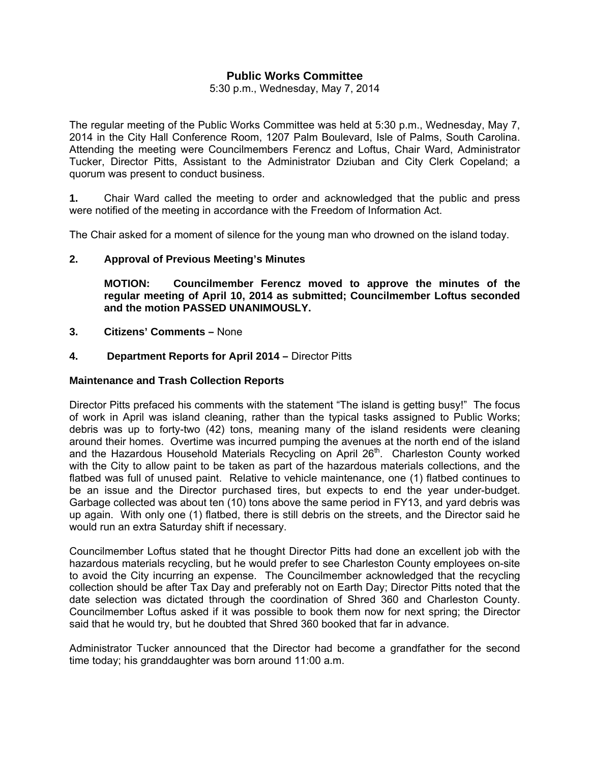## **Public Works Committee**

5:30 p.m., Wednesday, May 7, 2014

The regular meeting of the Public Works Committee was held at 5:30 p.m., Wednesday, May 7, 2014 in the City Hall Conference Room, 1207 Palm Boulevard, Isle of Palms, South Carolina. Attending the meeting were Councilmembers Ferencz and Loftus, Chair Ward, Administrator Tucker, Director Pitts, Assistant to the Administrator Dziuban and City Clerk Copeland; a quorum was present to conduct business.

**1.** Chair Ward called the meeting to order and acknowledged that the public and press were notified of the meeting in accordance with the Freedom of Information Act.

The Chair asked for a moment of silence for the young man who drowned on the island today.

#### **2. Approval of Previous Meeting's Minutes**

 **MOTION: Councilmember Ferencz moved to approve the minutes of the regular meeting of April 10, 2014 as submitted; Councilmember Loftus seconded and the motion PASSED UNANIMOUSLY.** 

**3. Citizens' Comments –** None

#### **4. Department Reports for April 2014 –** Director Pitts

#### **Maintenance and Trash Collection Reports**

Director Pitts prefaced his comments with the statement "The island is getting busy!" The focus of work in April was island cleaning, rather than the typical tasks assigned to Public Works; debris was up to forty-two (42) tons, meaning many of the island residents were cleaning around their homes. Overtime was incurred pumping the avenues at the north end of the island and the Hazardous Household Materials Recycling on April 26<sup>th</sup>. Charleston County worked with the City to allow paint to be taken as part of the hazardous materials collections, and the flatbed was full of unused paint. Relative to vehicle maintenance, one (1) flatbed continues to be an issue and the Director purchased tires, but expects to end the year under-budget. Garbage collected was about ten (10) tons above the same period in FY13, and yard debris was up again. With only one (1) flatbed, there is still debris on the streets, and the Director said he would run an extra Saturday shift if necessary.

Councilmember Loftus stated that he thought Director Pitts had done an excellent job with the hazardous materials recycling, but he would prefer to see Charleston County employees on-site to avoid the City incurring an expense. The Councilmember acknowledged that the recycling collection should be after Tax Day and preferably not on Earth Day; Director Pitts noted that the date selection was dictated through the coordination of Shred 360 and Charleston County. Councilmember Loftus asked if it was possible to book them now for next spring; the Director said that he would try, but he doubted that Shred 360 booked that far in advance.

Administrator Tucker announced that the Director had become a grandfather for the second time today; his granddaughter was born around 11:00 a.m.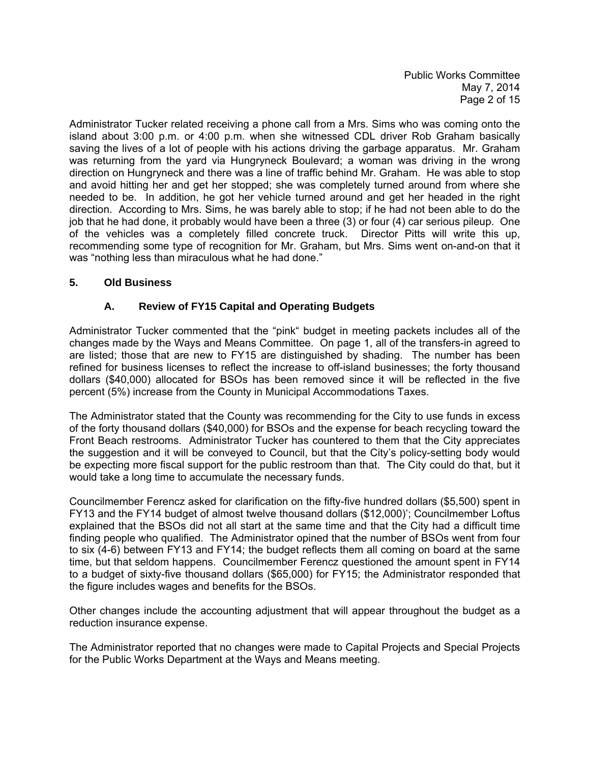Public Works Committee May 7, 2014 Page 2 of 15

Administrator Tucker related receiving a phone call from a Mrs. Sims who was coming onto the island about 3:00 p.m. or 4:00 p.m. when she witnessed CDL driver Rob Graham basically saving the lives of a lot of people with his actions driving the garbage apparatus. Mr. Graham was returning from the yard via Hungryneck Boulevard; a woman was driving in the wrong direction on Hungryneck and there was a line of traffic behind Mr. Graham. He was able to stop and avoid hitting her and get her stopped; she was completely turned around from where she needed to be. In addition, he got her vehicle turned around and get her headed in the right direction. According to Mrs. Sims, he was barely able to stop; if he had not been able to do the job that he had done, it probably would have been a three (3) or four (4) car serious pileup. One of the vehicles was a completely filled concrete truck. Director Pitts will write this up, recommending some type of recognition for Mr. Graham, but Mrs. Sims went on-and-on that it was "nothing less than miraculous what he had done."

### **5. Old Business**

# **A. Review of FY15 Capital and Operating Budgets**

Administrator Tucker commented that the "pink" budget in meeting packets includes all of the changes made by the Ways and Means Committee. On page 1, all of the transfers-in agreed to are listed; those that are new to FY15 are distinguished by shading. The number has been refined for business licenses to reflect the increase to off-island businesses; the forty thousand dollars (\$40,000) allocated for BSOs has been removed since it will be reflected in the five percent (5%) increase from the County in Municipal Accommodations Taxes.

The Administrator stated that the County was recommending for the City to use funds in excess of the forty thousand dollars (\$40,000) for BSOs and the expense for beach recycling toward the Front Beach restrooms. Administrator Tucker has countered to them that the City appreciates the suggestion and it will be conveyed to Council, but that the City's policy-setting body would be expecting more fiscal support for the public restroom than that. The City could do that, but it would take a long time to accumulate the necessary funds.

Councilmember Ferencz asked for clarification on the fifty-five hundred dollars (\$5,500) spent in FY13 and the FY14 budget of almost twelve thousand dollars (\$12,000)'; Councilmember Loftus explained that the BSOs did not all start at the same time and that the City had a difficult time finding people who qualified. The Administrator opined that the number of BSOs went from four to six (4-6) between FY13 and FY14; the budget reflects them all coming on board at the same time, but that seldom happens. Councilmember Ferencz questioned the amount spent in FY14 to a budget of sixty-five thousand dollars (\$65,000) for FY15; the Administrator responded that the figure includes wages and benefits for the BSOs.

Other changes include the accounting adjustment that will appear throughout the budget as a reduction insurance expense.

The Administrator reported that no changes were made to Capital Projects and Special Projects for the Public Works Department at the Ways and Means meeting.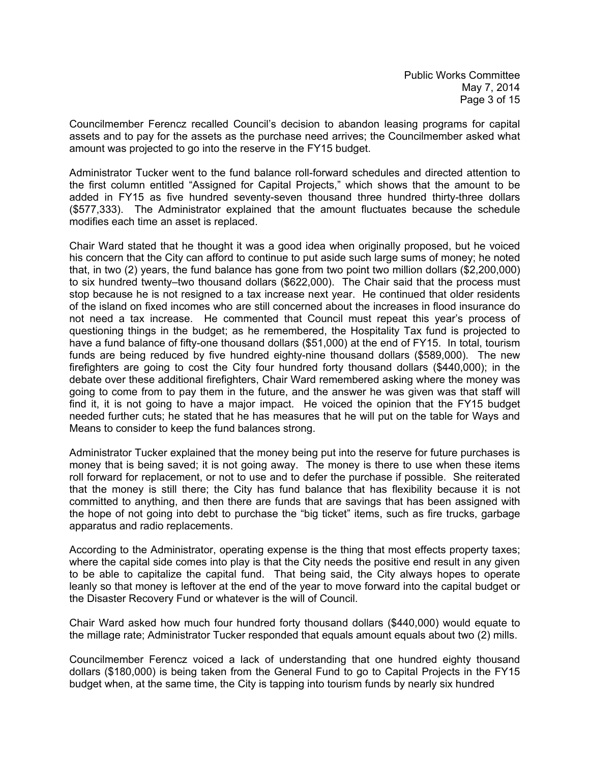Councilmember Ferencz recalled Council's decision to abandon leasing programs for capital assets and to pay for the assets as the purchase need arrives; the Councilmember asked what amount was projected to go into the reserve in the FY15 budget.

Administrator Tucker went to the fund balance roll-forward schedules and directed attention to the first column entitled "Assigned for Capital Projects," which shows that the amount to be added in FY15 as five hundred seventy-seven thousand three hundred thirty-three dollars (\$577,333). The Administrator explained that the amount fluctuates because the schedule modifies each time an asset is replaced.

Chair Ward stated that he thought it was a good idea when originally proposed, but he voiced his concern that the City can afford to continue to put aside such large sums of money; he noted that, in two (2) years, the fund balance has gone from two point two million dollars (\$2,200,000) to six hundred twenty–two thousand dollars (\$622,000). The Chair said that the process must stop because he is not resigned to a tax increase next year. He continued that older residents of the island on fixed incomes who are still concerned about the increases in flood insurance do not need a tax increase. He commented that Council must repeat this year's process of questioning things in the budget; as he remembered, the Hospitality Tax fund is projected to have a fund balance of fifty-one thousand dollars (\$51,000) at the end of FY15. In total, tourism funds are being reduced by five hundred eighty-nine thousand dollars (\$589,000). The new firefighters are going to cost the City four hundred forty thousand dollars (\$440,000); in the debate over these additional firefighters, Chair Ward remembered asking where the money was going to come from to pay them in the future, and the answer he was given was that staff will find it, it is not going to have a major impact. He voiced the opinion that the FY15 budget needed further cuts; he stated that he has measures that he will put on the table for Ways and Means to consider to keep the fund balances strong.

Administrator Tucker explained that the money being put into the reserve for future purchases is money that is being saved; it is not going away. The money is there to use when these items roll forward for replacement, or not to use and to defer the purchase if possible. She reiterated that the money is still there; the City has fund balance that has flexibility because it is not committed to anything, and then there are funds that are savings that has been assigned with the hope of not going into debt to purchase the "big ticket" items, such as fire trucks, garbage apparatus and radio replacements.

According to the Administrator, operating expense is the thing that most effects property taxes; where the capital side comes into play is that the City needs the positive end result in any given to be able to capitalize the capital fund. That being said, the City always hopes to operate leanly so that money is leftover at the end of the year to move forward into the capital budget or the Disaster Recovery Fund or whatever is the will of Council.

Chair Ward asked how much four hundred forty thousand dollars (\$440,000) would equate to the millage rate; Administrator Tucker responded that equals amount equals about two (2) mills.

Councilmember Ferencz voiced a lack of understanding that one hundred eighty thousand dollars (\$180,000) is being taken from the General Fund to go to Capital Projects in the FY15 budget when, at the same time, the City is tapping into tourism funds by nearly six hundred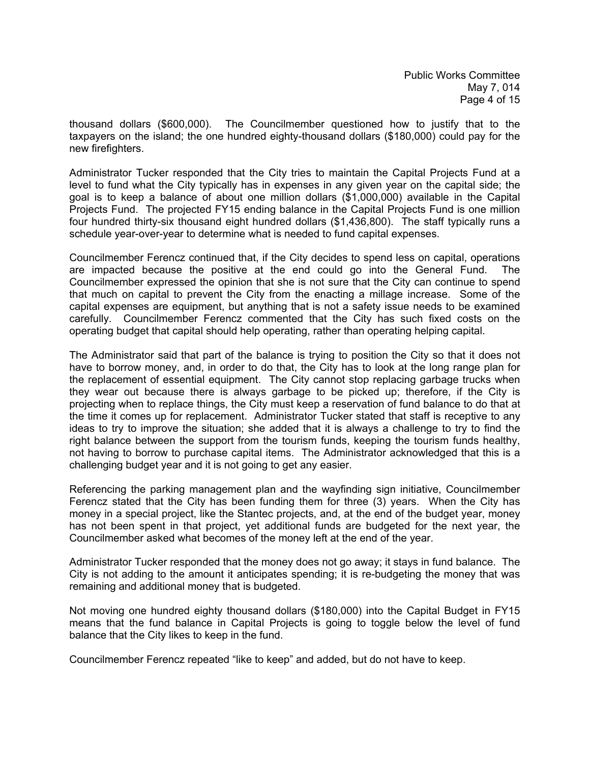thousand dollars (\$600,000). The Councilmember questioned how to justify that to the taxpayers on the island; the one hundred eighty-thousand dollars (\$180,000) could pay for the new firefighters.

Administrator Tucker responded that the City tries to maintain the Capital Projects Fund at a level to fund what the City typically has in expenses in any given year on the capital side; the goal is to keep a balance of about one million dollars (\$1,000,000) available in the Capital Projects Fund. The projected FY15 ending balance in the Capital Projects Fund is one million four hundred thirty-six thousand eight hundred dollars (\$1,436,800). The staff typically runs a schedule year-over-year to determine what is needed to fund capital expenses.

Councilmember Ferencz continued that, if the City decides to spend less on capital, operations are impacted because the positive at the end could go into the General Fund. The Councilmember expressed the opinion that she is not sure that the City can continue to spend that much on capital to prevent the City from the enacting a millage increase. Some of the capital expenses are equipment, but anything that is not a safety issue needs to be examined carefully. Councilmember Ferencz commented that the City has such fixed costs on the operating budget that capital should help operating, rather than operating helping capital.

The Administrator said that part of the balance is trying to position the City so that it does not have to borrow money, and, in order to do that, the City has to look at the long range plan for the replacement of essential equipment. The City cannot stop replacing garbage trucks when they wear out because there is always garbage to be picked up; therefore, if the City is projecting when to replace things, the City must keep a reservation of fund balance to do that at the time it comes up for replacement. Administrator Tucker stated that staff is receptive to any ideas to try to improve the situation; she added that it is always a challenge to try to find the right balance between the support from the tourism funds, keeping the tourism funds healthy, not having to borrow to purchase capital items. The Administrator acknowledged that this is a challenging budget year and it is not going to get any easier.

Referencing the parking management plan and the wayfinding sign initiative, Councilmember Ferencz stated that the City has been funding them for three (3) years. When the City has money in a special project, like the Stantec projects, and, at the end of the budget year, money has not been spent in that project, yet additional funds are budgeted for the next year, the Councilmember asked what becomes of the money left at the end of the year.

Administrator Tucker responded that the money does not go away; it stays in fund balance. The City is not adding to the amount it anticipates spending; it is re-budgeting the money that was remaining and additional money that is budgeted.

Not moving one hundred eighty thousand dollars (\$180,000) into the Capital Budget in FY15 means that the fund balance in Capital Projects is going to toggle below the level of fund balance that the City likes to keep in the fund.

Councilmember Ferencz repeated "like to keep" and added, but do not have to keep.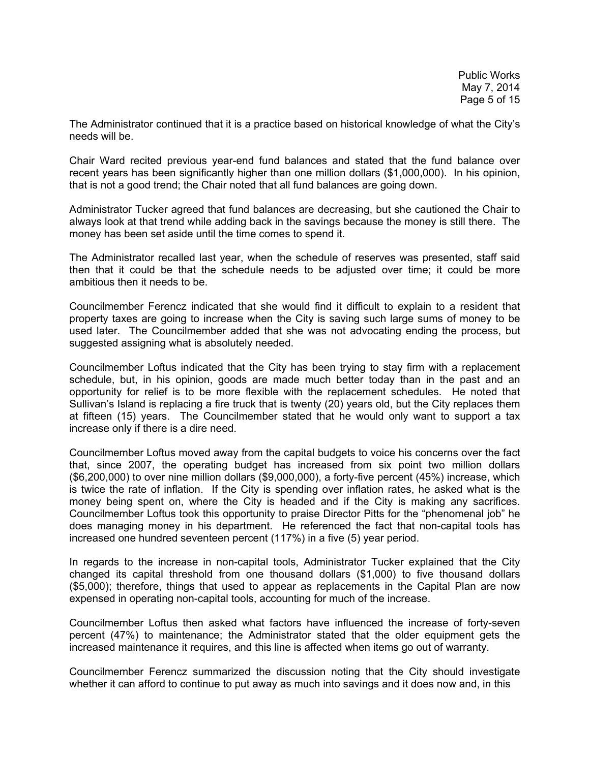The Administrator continued that it is a practice based on historical knowledge of what the City's needs will be.

Chair Ward recited previous year-end fund balances and stated that the fund balance over recent years has been significantly higher than one million dollars (\$1,000,000). In his opinion, that is not a good trend; the Chair noted that all fund balances are going down.

Administrator Tucker agreed that fund balances are decreasing, but she cautioned the Chair to always look at that trend while adding back in the savings because the money is still there. The money has been set aside until the time comes to spend it.

The Administrator recalled last year, when the schedule of reserves was presented, staff said then that it could be that the schedule needs to be adjusted over time; it could be more ambitious then it needs to be.

Councilmember Ferencz indicated that she would find it difficult to explain to a resident that property taxes are going to increase when the City is saving such large sums of money to be used later. The Councilmember added that she was not advocating ending the process, but suggested assigning what is absolutely needed.

Councilmember Loftus indicated that the City has been trying to stay firm with a replacement schedule, but, in his opinion, goods are made much better today than in the past and an opportunity for relief is to be more flexible with the replacement schedules. He noted that Sullivan's Island is replacing a fire truck that is twenty (20) years old, but the City replaces them at fifteen (15) years. The Councilmember stated that he would only want to support a tax increase only if there is a dire need.

Councilmember Loftus moved away from the capital budgets to voice his concerns over the fact that, since 2007, the operating budget has increased from six point two million dollars (\$6,200,000) to over nine million dollars (\$9,000,000), a forty-five percent (45%) increase, which is twice the rate of inflation. If the City is spending over inflation rates, he asked what is the money being spent on, where the City is headed and if the City is making any sacrifices. Councilmember Loftus took this opportunity to praise Director Pitts for the "phenomenal job" he does managing money in his department. He referenced the fact that non-capital tools has increased one hundred seventeen percent (117%) in a five (5) year period.

In regards to the increase in non-capital tools, Administrator Tucker explained that the City changed its capital threshold from one thousand dollars (\$1,000) to five thousand dollars (\$5,000); therefore, things that used to appear as replacements in the Capital Plan are now expensed in operating non-capital tools, accounting for much of the increase.

Councilmember Loftus then asked what factors have influenced the increase of forty-seven percent (47%) to maintenance; the Administrator stated that the older equipment gets the increased maintenance it requires, and this line is affected when items go out of warranty.

Councilmember Ferencz summarized the discussion noting that the City should investigate whether it can afford to continue to put away as much into savings and it does now and, in this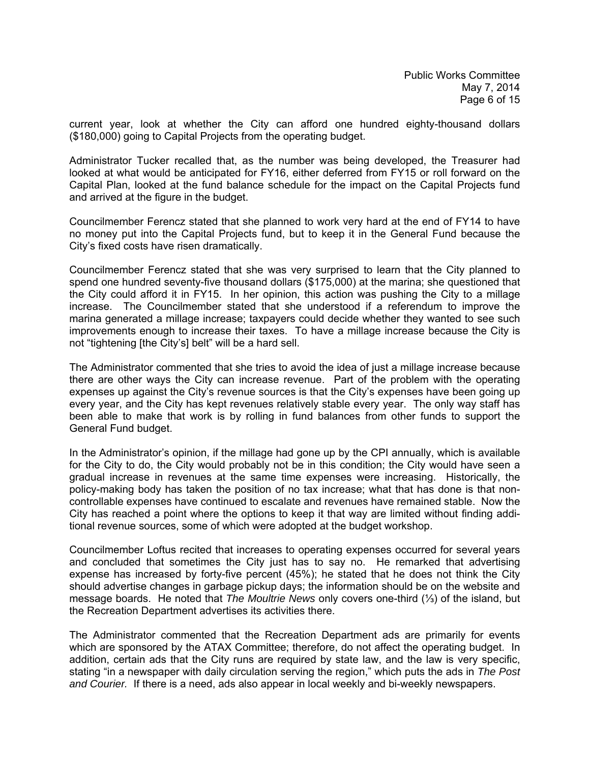current year, look at whether the City can afford one hundred eighty-thousand dollars (\$180,000) going to Capital Projects from the operating budget.

Administrator Tucker recalled that, as the number was being developed, the Treasurer had looked at what would be anticipated for FY16, either deferred from FY15 or roll forward on the Capital Plan, looked at the fund balance schedule for the impact on the Capital Projects fund and arrived at the figure in the budget.

Councilmember Ferencz stated that she planned to work very hard at the end of FY14 to have no money put into the Capital Projects fund, but to keep it in the General Fund because the City's fixed costs have risen dramatically.

Councilmember Ferencz stated that she was very surprised to learn that the City planned to spend one hundred seventy-five thousand dollars (\$175,000) at the marina; she questioned that the City could afford it in FY15. In her opinion, this action was pushing the City to a millage increase. The Councilmember stated that she understood if a referendum to improve the marina generated a millage increase; taxpayers could decide whether they wanted to see such improvements enough to increase their taxes. To have a millage increase because the City is not "tightening [the City's] belt" will be a hard sell.

The Administrator commented that she tries to avoid the idea of just a millage increase because there are other ways the City can increase revenue. Part of the problem with the operating expenses up against the City's revenue sources is that the City's expenses have been going up every year, and the City has kept revenues relatively stable every year. The only way staff has been able to make that work is by rolling in fund balances from other funds to support the General Fund budget.

In the Administrator's opinion, if the millage had gone up by the CPI annually, which is available for the City to do, the City would probably not be in this condition; the City would have seen a gradual increase in revenues at the same time expenses were increasing. Historically, the policy-making body has taken the position of no tax increase; what that has done is that noncontrollable expenses have continued to escalate and revenues have remained stable. Now the City has reached a point where the options to keep it that way are limited without finding additional revenue sources, some of which were adopted at the budget workshop.

Councilmember Loftus recited that increases to operating expenses occurred for several years and concluded that sometimes the City just has to say no. He remarked that advertising expense has increased by forty-five percent (45%); he stated that he does not think the City should advertise changes in garbage pickup days; the information should be on the website and message boards. He noted that *The Moultrie News* only covers one-third (⅓) of the island, but the Recreation Department advertises its activities there.

The Administrator commented that the Recreation Department ads are primarily for events which are sponsored by the ATAX Committee; therefore, do not affect the operating budget. In addition, certain ads that the City runs are required by state law, and the law is very specific, stating "in a newspaper with daily circulation serving the region," which puts the ads in *The Post and Courier.* If there is a need, ads also appear in local weekly and bi-weekly newspapers.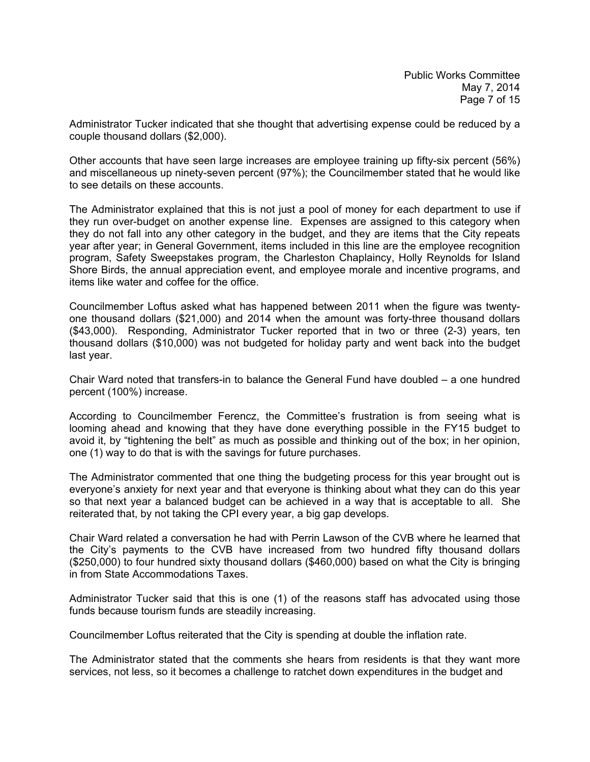Administrator Tucker indicated that she thought that advertising expense could be reduced by a couple thousand dollars (\$2,000).

Other accounts that have seen large increases are employee training up fifty-six percent (56%) and miscellaneous up ninety-seven percent (97%); the Councilmember stated that he would like to see details on these accounts.

The Administrator explained that this is not just a pool of money for each department to use if they run over-budget on another expense line. Expenses are assigned to this category when they do not fall into any other category in the budget, and they are items that the City repeats year after year; in General Government, items included in this line are the employee recognition program, Safety Sweepstakes program, the Charleston Chaplaincy, Holly Reynolds for Island Shore Birds, the annual appreciation event, and employee morale and incentive programs, and items like water and coffee for the office.

Councilmember Loftus asked what has happened between 2011 when the figure was twentyone thousand dollars (\$21,000) and 2014 when the amount was forty-three thousand dollars (\$43,000). Responding, Administrator Tucker reported that in two or three (2-3) years, ten thousand dollars (\$10,000) was not budgeted for holiday party and went back into the budget last year.

Chair Ward noted that transfers-in to balance the General Fund have doubled – a one hundred percent (100%) increase.

According to Councilmember Ferencz, the Committee's frustration is from seeing what is looming ahead and knowing that they have done everything possible in the FY15 budget to avoid it, by "tightening the belt" as much as possible and thinking out of the box; in her opinion, one (1) way to do that is with the savings for future purchases.

The Administrator commented that one thing the budgeting process for this year brought out is everyone's anxiety for next year and that everyone is thinking about what they can do this year so that next year a balanced budget can be achieved in a way that is acceptable to all. She reiterated that, by not taking the CPI every year, a big gap develops.

Chair Ward related a conversation he had with Perrin Lawson of the CVB where he learned that the City's payments to the CVB have increased from two hundred fifty thousand dollars (\$250,000) to four hundred sixty thousand dollars (\$460,000) based on what the City is bringing in from State Accommodations Taxes.

Administrator Tucker said that this is one (1) of the reasons staff has advocated using those funds because tourism funds are steadily increasing.

Councilmember Loftus reiterated that the City is spending at double the inflation rate.

The Administrator stated that the comments she hears from residents is that they want more services, not less, so it becomes a challenge to ratchet down expenditures in the budget and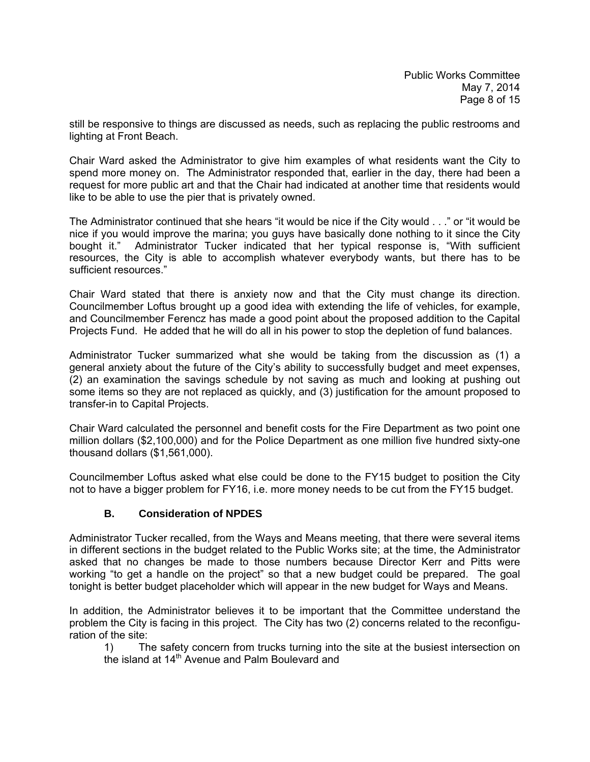still be responsive to things are discussed as needs, such as replacing the public restrooms and lighting at Front Beach.

Chair Ward asked the Administrator to give him examples of what residents want the City to spend more money on. The Administrator responded that, earlier in the day, there had been a request for more public art and that the Chair had indicated at another time that residents would like to be able to use the pier that is privately owned.

The Administrator continued that she hears "it would be nice if the City would . . ." or "it would be nice if you would improve the marina; you guys have basically done nothing to it since the City bought it." Administrator Tucker indicated that her typical response is, "With sufficient resources, the City is able to accomplish whatever everybody wants, but there has to be sufficient resources."

Chair Ward stated that there is anxiety now and that the City must change its direction. Councilmember Loftus brought up a good idea with extending the life of vehicles, for example, and Councilmember Ferencz has made a good point about the proposed addition to the Capital Projects Fund. He added that he will do all in his power to stop the depletion of fund balances.

Administrator Tucker summarized what she would be taking from the discussion as (1) a general anxiety about the future of the City's ability to successfully budget and meet expenses, (2) an examination the savings schedule by not saving as much and looking at pushing out some items so they are not replaced as quickly, and (3) justification for the amount proposed to transfer-in to Capital Projects.

Chair Ward calculated the personnel and benefit costs for the Fire Department as two point one million dollars (\$2,100,000) and for the Police Department as one million five hundred sixty-one thousand dollars (\$1,561,000).

Councilmember Loftus asked what else could be done to the FY15 budget to position the City not to have a bigger problem for FY16, i.e. more money needs to be cut from the FY15 budget.

# **B. Consideration of NPDES**

Administrator Tucker recalled, from the Ways and Means meeting, that there were several items in different sections in the budget related to the Public Works site; at the time, the Administrator asked that no changes be made to those numbers because Director Kerr and Pitts were working "to get a handle on the project" so that a new budget could be prepared. The goal tonight is better budget placeholder which will appear in the new budget for Ways and Means.

In addition, the Administrator believes it to be important that the Committee understand the problem the City is facing in this project. The City has two (2) concerns related to the reconfiguration of the site:

 1) The safety concern from trucks turning into the site at the busiest intersection on the island at 14<sup>th</sup> Avenue and Palm Boulevard and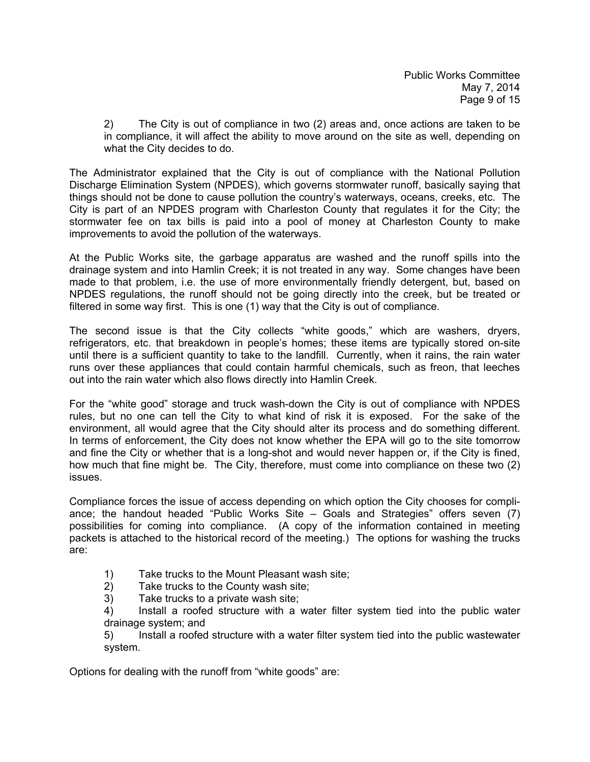2) The City is out of compliance in two (2) areas and, once actions are taken to be in compliance, it will affect the ability to move around on the site as well, depending on what the City decides to do.

The Administrator explained that the City is out of compliance with the National Pollution Discharge Elimination System (NPDES), which governs stormwater runoff, basically saying that things should not be done to cause pollution the country's waterways, oceans, creeks, etc. The City is part of an NPDES program with Charleston County that regulates it for the City; the stormwater fee on tax bills is paid into a pool of money at Charleston County to make improvements to avoid the pollution of the waterways.

At the Public Works site, the garbage apparatus are washed and the runoff spills into the drainage system and into Hamlin Creek; it is not treated in any way. Some changes have been made to that problem, i.e. the use of more environmentally friendly detergent, but, based on NPDES regulations, the runoff should not be going directly into the creek, but be treated or filtered in some way first. This is one (1) way that the City is out of compliance.

The second issue is that the City collects "white goods," which are washers, dryers, refrigerators, etc. that breakdown in people's homes; these items are typically stored on-site until there is a sufficient quantity to take to the landfill. Currently, when it rains, the rain water runs over these appliances that could contain harmful chemicals, such as freon, that leeches out into the rain water which also flows directly into Hamlin Creek.

For the "white good" storage and truck wash-down the City is out of compliance with NPDES rules, but no one can tell the City to what kind of risk it is exposed. For the sake of the environment, all would agree that the City should alter its process and do something different. In terms of enforcement, the City does not know whether the EPA will go to the site tomorrow and fine the City or whether that is a long-shot and would never happen or, if the City is fined, how much that fine might be. The City, therefore, must come into compliance on these two (2) issues.

Compliance forces the issue of access depending on which option the City chooses for compliance; the handout headed "Public Works Site – Goals and Strategies" offers seven (7) possibilities for coming into compliance. (A copy of the information contained in meeting packets is attached to the historical record of the meeting.) The options for washing the trucks are:

- 1) Take trucks to the Mount Pleasant wash site;
- 2) Take trucks to the County wash site;
- 3) Take trucks to a private wash site;

 4) Install a roofed structure with a water filter system tied into the public water drainage system; and

 5) Install a roofed structure with a water filter system tied into the public wastewater system.

Options for dealing with the runoff from "white goods" are: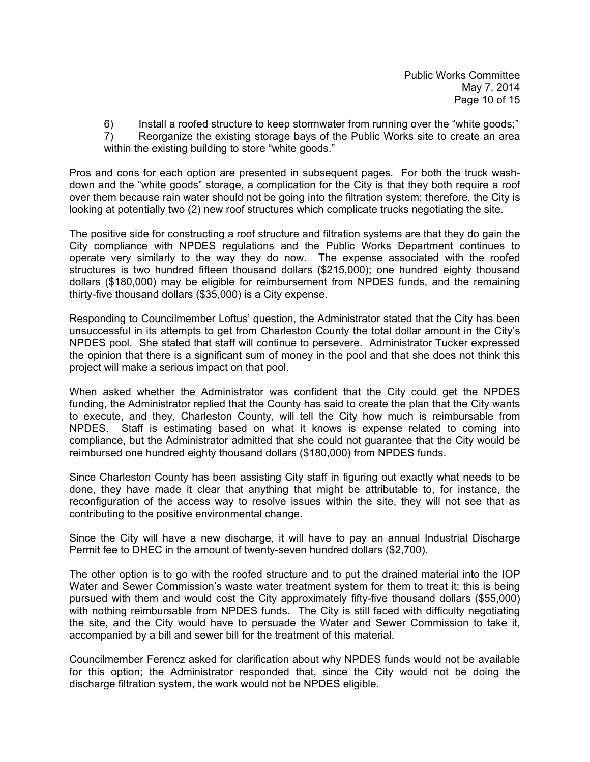6) Install a roofed structure to keep stormwater from running over the "white goods;"

 7) Reorganize the existing storage bays of the Public Works site to create an area within the existing building to store "white goods."

Pros and cons for each option are presented in subsequent pages. For both the truck washdown and the "white goods" storage, a complication for the City is that they both require a roof over them because rain water should not be going into the filtration system; therefore, the City is looking at potentially two (2) new roof structures which complicate trucks negotiating the site.

The positive side for constructing a roof structure and filtration systems are that they do gain the City compliance with NPDES regulations and the Public Works Department continues to operate very similarly to the way they do now. The expense associated with the roofed structures is two hundred fifteen thousand dollars (\$215,000); one hundred eighty thousand dollars (\$180,000) may be eligible for reimbursement from NPDES funds, and the remaining thirty-five thousand dollars (\$35,000) is a City expense.

Responding to Councilmember Loftus' question, the Administrator stated that the City has been unsuccessful in its attempts to get from Charleston County the total dollar amount in the City's NPDES pool. She stated that staff will continue to persevere. Administrator Tucker expressed the opinion that there is a significant sum of money in the pool and that she does not think this project will make a serious impact on that pool.

When asked whether the Administrator was confident that the City could get the NPDES funding, the Administrator replied that the County has said to create the plan that the City wants to execute, and they, Charleston County, will tell the City how much is reimbursable from NPDES. Staff is estimating based on what it knows is expense related to coming into compliance, but the Administrator admitted that she could not guarantee that the City would be reimbursed one hundred eighty thousand dollars (\$180,000) from NPDES funds.

Since Charleston County has been assisting City staff in figuring out exactly what needs to be done, they have made it clear that anything that might be attributable to, for instance, the reconfiguration of the access way to resolve issues within the site, they will not see that as contributing to the positive environmental change.

Since the City will have a new discharge, it will have to pay an annual Industrial Discharge Permit fee to DHEC in the amount of twenty-seven hundred dollars (\$2,700).

The other option is to go with the roofed structure and to put the drained material into the IOP Water and Sewer Commission's waste water treatment system for them to treat it; this is being pursued with them and would cost the City approximately fifty-five thousand dollars (\$55,000) with nothing reimbursable from NPDES funds. The City is still faced with difficulty negotiating the site, and the City would have to persuade the Water and Sewer Commission to take it, accompanied by a bill and sewer bill for the treatment of this material.

Councilmember Ferencz asked for clarification about why NPDES funds would not be available for this option; the Administrator responded that, since the City would not be doing the discharge filtration system, the work would not be NPDES eligible.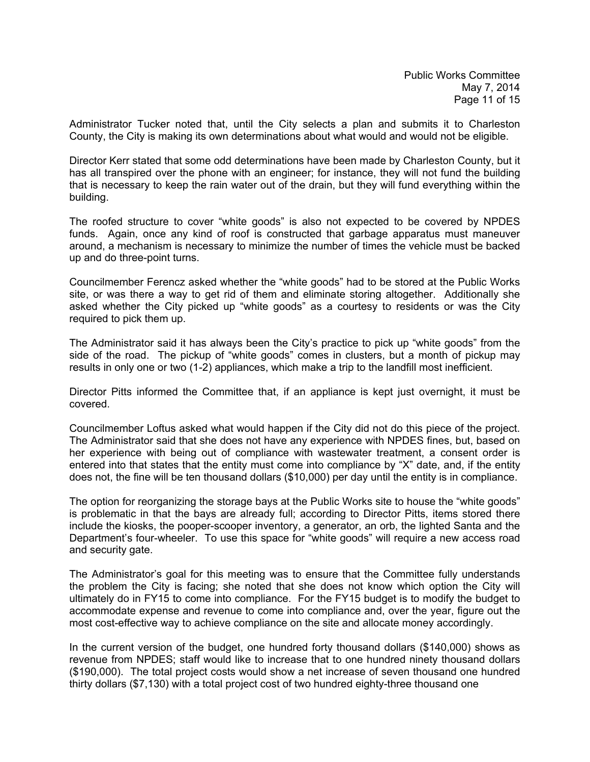Administrator Tucker noted that, until the City selects a plan and submits it to Charleston County, the City is making its own determinations about what would and would not be eligible.

Director Kerr stated that some odd determinations have been made by Charleston County, but it has all transpired over the phone with an engineer; for instance, they will not fund the building that is necessary to keep the rain water out of the drain, but they will fund everything within the building.

The roofed structure to cover "white goods" is also not expected to be covered by NPDES funds. Again, once any kind of roof is constructed that garbage apparatus must maneuver around, a mechanism is necessary to minimize the number of times the vehicle must be backed up and do three-point turns.

Councilmember Ferencz asked whether the "white goods" had to be stored at the Public Works site, or was there a way to get rid of them and eliminate storing altogether. Additionally she asked whether the City picked up "white goods" as a courtesy to residents or was the City required to pick them up.

The Administrator said it has always been the City's practice to pick up "white goods" from the side of the road. The pickup of "white goods" comes in clusters, but a month of pickup may results in only one or two (1-2) appliances, which make a trip to the landfill most inefficient.

Director Pitts informed the Committee that, if an appliance is kept just overnight, it must be covered.

Councilmember Loftus asked what would happen if the City did not do this piece of the project. The Administrator said that she does not have any experience with NPDES fines, but, based on her experience with being out of compliance with wastewater treatment, a consent order is entered into that states that the entity must come into compliance by "X" date, and, if the entity does not, the fine will be ten thousand dollars (\$10,000) per day until the entity is in compliance.

The option for reorganizing the storage bays at the Public Works site to house the "white goods" is problematic in that the bays are already full; according to Director Pitts, items stored there include the kiosks, the pooper-scooper inventory, a generator, an orb, the lighted Santa and the Department's four-wheeler. To use this space for "white goods" will require a new access road and security gate.

The Administrator's goal for this meeting was to ensure that the Committee fully understands the problem the City is facing; she noted that she does not know which option the City will ultimately do in FY15 to come into compliance. For the FY15 budget is to modify the budget to accommodate expense and revenue to come into compliance and, over the year, figure out the most cost-effective way to achieve compliance on the site and allocate money accordingly.

In the current version of the budget, one hundred forty thousand dollars (\$140,000) shows as revenue from NPDES; staff would like to increase that to one hundred ninety thousand dollars (\$190,000). The total project costs would show a net increase of seven thousand one hundred thirty dollars (\$7,130) with a total project cost of two hundred eighty-three thousand one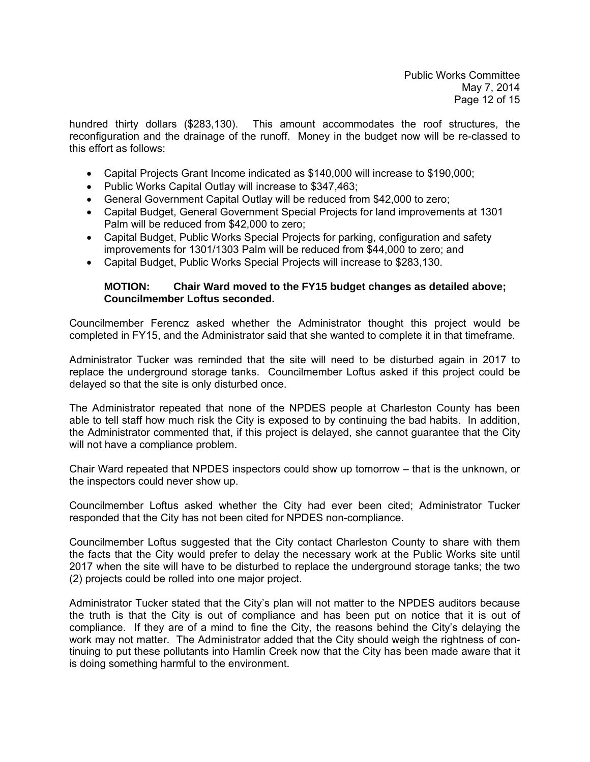hundred thirty dollars (\$283,130). This amount accommodates the roof structures, the reconfiguration and the drainage of the runoff. Money in the budget now will be re-classed to this effort as follows:

- Capital Projects Grant Income indicated as \$140,000 will increase to \$190,000;
- Public Works Capital Outlay will increase to \$347,463;
- General Government Capital Outlay will be reduced from \$42,000 to zero;
- Capital Budget, General Government Special Projects for land improvements at 1301 Palm will be reduced from \$42,000 to zero;
- Capital Budget, Public Works Special Projects for parking, configuration and safety improvements for 1301/1303 Palm will be reduced from \$44,000 to zero; and
- Capital Budget, Public Works Special Projects will increase to \$283,130.

#### **MOTION: Chair Ward moved to the FY15 budget changes as detailed above; Councilmember Loftus seconded.**

Councilmember Ferencz asked whether the Administrator thought this project would be completed in FY15, and the Administrator said that she wanted to complete it in that timeframe.

Administrator Tucker was reminded that the site will need to be disturbed again in 2017 to replace the underground storage tanks. Councilmember Loftus asked if this project could be delayed so that the site is only disturbed once.

The Administrator repeated that none of the NPDES people at Charleston County has been able to tell staff how much risk the City is exposed to by continuing the bad habits. In addition, the Administrator commented that, if this project is delayed, she cannot guarantee that the City will not have a compliance problem.

Chair Ward repeated that NPDES inspectors could show up tomorrow – that is the unknown, or the inspectors could never show up.

Councilmember Loftus asked whether the City had ever been cited; Administrator Tucker responded that the City has not been cited for NPDES non-compliance.

Councilmember Loftus suggested that the City contact Charleston County to share with them the facts that the City would prefer to delay the necessary work at the Public Works site until 2017 when the site will have to be disturbed to replace the underground storage tanks; the two (2) projects could be rolled into one major project.

Administrator Tucker stated that the City's plan will not matter to the NPDES auditors because the truth is that the City is out of compliance and has been put on notice that it is out of compliance. If they are of a mind to fine the City, the reasons behind the City's delaying the work may not matter. The Administrator added that the City should weigh the rightness of continuing to put these pollutants into Hamlin Creek now that the City has been made aware that it is doing something harmful to the environment.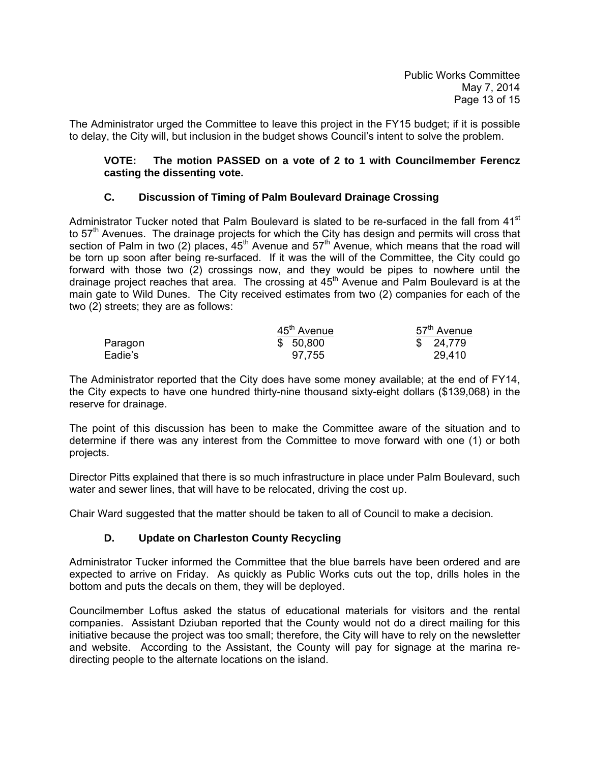The Administrator urged the Committee to leave this project in the FY15 budget; if it is possible to delay, the City will, but inclusion in the budget shows Council's intent to solve the problem.

#### **VOTE: The motion PASSED on a vote of 2 to 1 with Councilmember Ferencz casting the dissenting vote.**

## **C. Discussion of Timing of Palm Boulevard Drainage Crossing**

Administrator Tucker noted that Palm Boulevard is slated to be re-surfaced in the fall from 41<sup>st</sup> to  $57<sup>th</sup>$  Avenues. The drainage projects for which the City has design and permits will cross that section of Palm in two (2) places,  $45<sup>th</sup>$  Avenue and  $57<sup>th</sup>$  Avenue, which means that the road will be torn up soon after being re-surfaced. If it was the will of the Committee, the City could go forward with those two (2) crossings now, and they would be pipes to nowhere until the drainage project reaches that area. The crossing at  $45<sup>th</sup>$  Avenue and Palm Boulevard is at the main gate to Wild Dunes. The City received estimates from two (2) companies for each of the two (2) streets; they are as follows:

|         | 45 <sup>th</sup> Avenue | 57 <sup>th</sup> Avenue |
|---------|-------------------------|-------------------------|
| Paragon | \$50,800                | \$24,779                |
| Eadie's | 97,755                  | 29,410                  |

The Administrator reported that the City does have some money available; at the end of FY14, the City expects to have one hundred thirty-nine thousand sixty-eight dollars (\$139,068) in the reserve for drainage.

The point of this discussion has been to make the Committee aware of the situation and to determine if there was any interest from the Committee to move forward with one (1) or both projects.

Director Pitts explained that there is so much infrastructure in place under Palm Boulevard, such water and sewer lines, that will have to be relocated, driving the cost up.

Chair Ward suggested that the matter should be taken to all of Council to make a decision.

### **D. Update on Charleston County Recycling**

Administrator Tucker informed the Committee that the blue barrels have been ordered and are expected to arrive on Friday. As quickly as Public Works cuts out the top, drills holes in the bottom and puts the decals on them, they will be deployed.

Councilmember Loftus asked the status of educational materials for visitors and the rental companies. Assistant Dziuban reported that the County would not do a direct mailing for this initiative because the project was too small; therefore, the City will have to rely on the newsletter and website. According to the Assistant, the County will pay for signage at the marina redirecting people to the alternate locations on the island.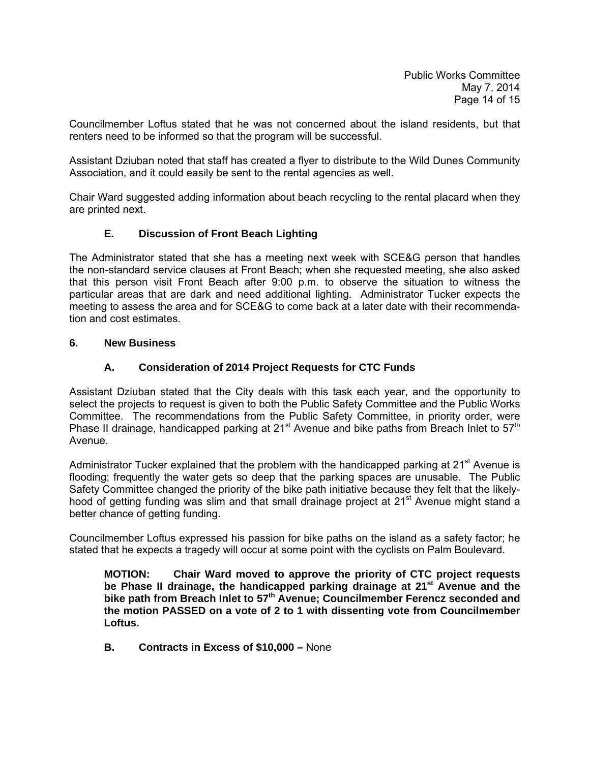Councilmember Loftus stated that he was not concerned about the island residents, but that renters need to be informed so that the program will be successful.

Assistant Dziuban noted that staff has created a flyer to distribute to the Wild Dunes Community Association, and it could easily be sent to the rental agencies as well.

Chair Ward suggested adding information about beach recycling to the rental placard when they are printed next.

## **E. Discussion of Front Beach Lighting**

The Administrator stated that she has a meeting next week with SCE&G person that handles the non-standard service clauses at Front Beach; when she requested meeting, she also asked that this person visit Front Beach after 9:00 p.m. to observe the situation to witness the particular areas that are dark and need additional lighting. Administrator Tucker expects the meeting to assess the area and for SCE&G to come back at a later date with their recommendation and cost estimates.

#### **6. New Business**

### **A. Consideration of 2014 Project Requests for CTC Funds**

Assistant Dziuban stated that the City deals with this task each year, and the opportunity to select the projects to request is given to both the Public Safety Committee and the Public Works Committee. The recommendations from the Public Safety Committee, in priority order, were Phase II drainage, handicapped parking at  $21<sup>st</sup>$  Avenue and bike paths from Breach Inlet to  $57<sup>th</sup>$ Avenue.

Administrator Tucker explained that the problem with the handicapped parking at  $21<sup>st</sup>$  Avenue is flooding; frequently the water gets so deep that the parking spaces are unusable. The Public Safety Committee changed the priority of the bike path initiative because they felt that the likelyhood of getting funding was slim and that small drainage project at  $21<sup>st</sup>$  Avenue might stand a better chance of getting funding.

Councilmember Loftus expressed his passion for bike paths on the island as a safety factor; he stated that he expects a tragedy will occur at some point with the cyclists on Palm Boulevard.

**MOTION: Chair Ward moved to approve the priority of CTC project requests**  be Phase II drainage, the handicapped parking drainage at 21<sup>st</sup> Avenue and the  **bike path from Breach Inlet to 57th Avenue; Councilmember Ferencz seconded and the motion PASSED on a vote of 2 to 1 with dissenting vote from Councilmember Loftus.** 

 **B. Contracts in Excess of \$10,000 –** None